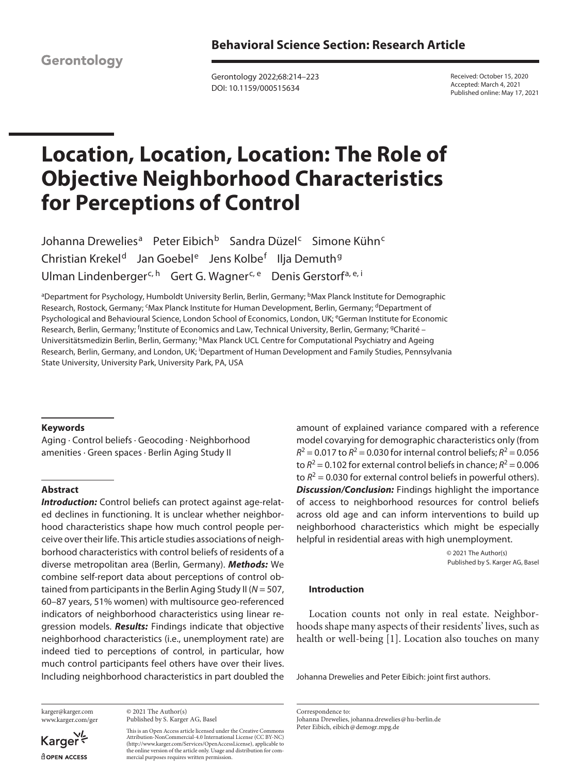Gerontology

Gerontology 2022;68:214–223 DOI: 10.1159/000515634

Received: October 15, 2020 Accepted: March 4, 2021 Published online: May 17, 2021

# **Location, Location, Location: The Role of Objective Neighborhood Characteristics for Perceptions of Control**

Johanna Drewelies<sup>a</sup> Peter Eibich<sup>b</sup> Sandra Düzel<sup>c</sup> Simone Kühn<sup>c</sup> Christian Krekel<sup>d</sup> Jan Goebel<sup>e</sup> Jens Kolbe<sup>f</sup> Ilja Demuth<sup>g</sup> Ulman Lindenberger<sup>c, h</sup> Gert G. Wagner<sup>c, e</sup> Denis Gerstorf<sup>a, e, i</sup>

<sup>a</sup>Department for Psychology, Humboldt University Berlin, Berlin, Germany; <sup>b</sup>Max Planck Institute for Demographic Research, Rostock, Germany; <sup>c</sup>Max Planck Institute for Human Development, Berlin, Germany; <sup>d</sup>Department of Psychological and Behavioural Science, London School of Economics, London, UK; <sup>e</sup>German Institute for Economic Research, Berlin, Germany; <sup>f</sup>Institute of Economics and Law, Technical University, Berlin, Germany; <sup>g</sup>Charité – Universitätsmedizin Berlin, Berlin, Germany; hMax Planck UCL Centre for Computational Psychiatry and Ageing Research, Berlin, Germany, and London, UK; <sup>i</sup>Department of Human Development and Family Studies, Pennsylvania State University, University Park, University Park, PA, USA

#### **Keywords**

Aging · Control beliefs · Geocoding · Neighborhood amenities · Green spaces · Berlin Aging Study II

# **Abstract**

**Introduction:** Control beliefs can protect against age-related declines in functioning. It is unclear whether neighborhood characteristics shape how much control people perceive over their life. This article studies associations of neighborhood characteristics with control beliefs of residents of a diverse metropolitan area (Berlin, Germany). *Methods:* We combine self-report data about perceptions of control obtained from participants in the Berlin Aging Study II (*N* = 507, 60–87 years, 51% women) with multisource geo-referenced indicators of neighborhood characteristics using linear regression models. *Results:* Findings indicate that objective neighborhood characteristics (i.e., unemployment rate) are indeed tied to perceptions of control, in particular, how much control participants feel others have over their lives. Including neighborhood characteristics in part doubled the

karger@karger.com www.karger.com/ger

Karger dopen Access

© 2021 The Author(s) Published by S. Karger AG, Basel

This is an Open Access article licensed under the Creative Commons Attribution-NonCommercial-4.0 International License (CC BY-NC) (http://www.karger.com/Services/OpenAccessLicense), applicable to the online version of the article only. Usage and distribution for commercial purposes requires written permission.

amount of explained variance compared with a reference model covarying for demographic characteristics only (from  $R^2$  = 0.017 to  $R^2$  = 0.030 for internal control beliefs;  $R^2$  = 0.056 to  $R^2$  = 0.102 for external control beliefs in chance;  $R^2$  = 0.006 to  $R^2$  = 0.030 for external control beliefs in powerful others). *Discussion/Conclusion:* Findings highlight the importance of access to neighborhood resources for control beliefs across old age and can inform interventions to build up neighborhood characteristics which might be especially helpful in residential areas with high unemployment.

> © 2021 The Author(s) Published by S. Karger AG, Basel

# **Introduction**

<span id="page-0-0"></span>Location counts not only in real estate. Neighborhoods shape many aspects of their residents' lives, such as health or well-being [[1](#page-8-0)]. Location also touches on many

Johanna Drewelies and Peter Eibich: joint first authors.

Correspondence to: Johanna Drewelies, johanna.drewelies@hu-berlin.de Peter Eibich, eibich@demogr.mpg.de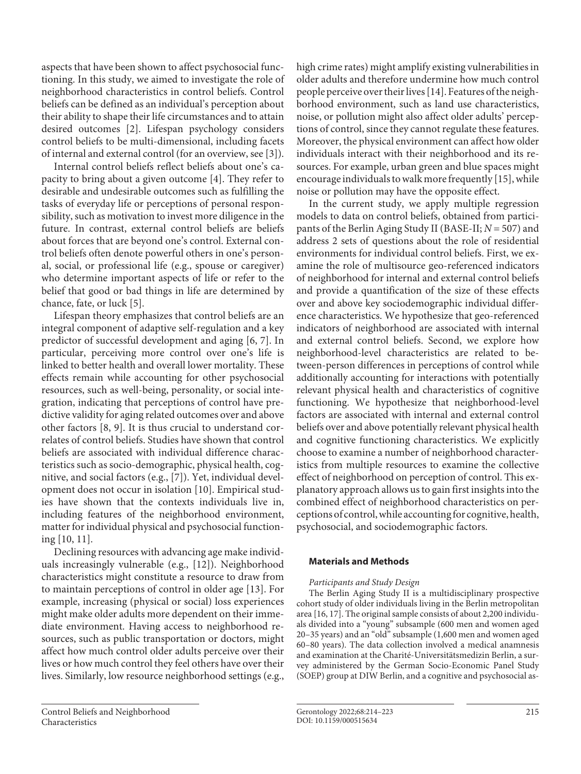aspects that have been shown to affect psychosocial functioning. In this study, we aimed to investigate the role of neighborhood characteristics in control beliefs. Control beliefs can be defined as an individual's perception about their ability to shape their life circumstances and to attain desired outcomes [[2](#page-8-1)]. Lifespan psychology considers control beliefs to be multi-dimensional, including facets of internal and external control (for an overview, see [[3](#page-8-2)]).

<span id="page-1-2"></span><span id="page-1-1"></span><span id="page-1-0"></span>Internal control beliefs reflect beliefs about one's capacity to bring about a given outcome [[4](#page-8-3)]. They refer to desirable and undesirable outcomes such as fulfilling the tasks of everyday life or perceptions of personal responsibility, such as motivation to invest more diligence in the future. In contrast, external control beliefs are beliefs about forces that are beyond one's control. External control beliefs often denote powerful others in one's personal, social, or professional life (e.g., spouse or caregiver) who determine important aspects of life or refer to the belief that good or bad things in life are determined by chance, fate, or luck [[5\]](#page-8-4).

<span id="page-1-5"></span><span id="page-1-4"></span><span id="page-1-3"></span>Lifespan theory emphasizes that control beliefs are an integral component of adaptive self-regulation and a key predictor of successful development and aging [\[6](#page-8-5), [7](#page-8-6)]. In particular, perceiving more control over one's life is linked to better health and overall lower mortality. These effects remain while accounting for other psychosocial resources, such as well-being, personality, or social integration, indicating that perceptions of control have predictive validity for aging related outcomes over and above other factors [\[8](#page-8-7), [9](#page-8-8)]. It is thus crucial to understand correlates of control beliefs. Studies have shown that control beliefs are associated with individual difference characteristics such as socio-demographic, physical health, cognitive, and social factors (e.g., [[7](#page-8-6)]). Yet, individual development does not occur in isolation [\[1](#page-8-0)0]. Empirical studies have shown that the contexts individuals live in, including features of the neighborhood environment, matter for individual physical and psychosocial functioning [[1](#page-8-0)0, [11](#page-8-0)].

<span id="page-1-9"></span><span id="page-1-8"></span><span id="page-1-7"></span><span id="page-1-6"></span>Declining resources with advancing age make individuals increasingly vulnerable (e.g., [\[1](#page-8-0)[2\]](#page-8-1)). Neighborhood characteristics might constitute a resource to draw from to maintain perceptions of control in older age [\[1](#page-8-0)[3\]](#page-8-2). For example, increasing (physical or social) loss experiences might make older adults more dependent on their immediate environment. Having access to neighborhood resources, such as public transportation or doctors, might affect how much control older adults perceive over their lives or how much control they feel others have over their lives. Similarly, low resource neighborhood settings (e.g.,

<span id="page-1-10"></span>high crime rates) might amplify existing vulnerabilities in older adults and therefore undermine how much control people perceive over their lives [\[1](#page-8-0)[4\]](#page-8-3). Features of the neighborhood environment, such as land use characteristics, noise, or pollution might also affect older adults' perceptions of control, since they cannot regulate these features. Moreover, the physical environment can affect how older individuals interact with their neighborhood and its resources. For example, urban green and blue spaces might encourage individuals to walk more frequently [\[1](#page-8-0)[5](#page-8-4)], while noise or pollution may have the opposite effect.

<span id="page-1-11"></span>In the current study, we apply multiple regression models to data on control beliefs, obtained from participants of the Berlin Aging Study II (BASE-II; *N* = 507) and address 2 sets of questions about the role of residential environments for individual control beliefs. First, we examine the role of multisource geo-referenced indicators of neighborhood for internal and external control beliefs and provide a quantification of the size of these effects over and above key sociodemographic individual difference characteristics. We hypothesize that geo-referenced indicators of neighborhood are associated with internal and external control beliefs. Second, we explore how neighborhood-level characteristics are related to between-person differences in perceptions of control while additionally accounting for interactions with potentially relevant physical health and characteristics of cognitive functioning. We hypothesize that neighborhood-level factors are associated with internal and external control beliefs over and above potentially relevant physical health and cognitive functioning characteristics. We explicitly choose to examine a number of neighborhood characteristics from multiple resources to examine the collective effect of neighborhood on perception of control. This explanatory approach allows us to gain first insights into the combined effect of neighborhood characteristics on perceptions of control, while accounting for cognitive, health, psychosocial, and sociodemographic factors.

# **Materials and Methods**

# *Participants and Study Design*

<span id="page-1-12"></span>The Berlin Aging Study II is a multidisciplinary prospective cohort study of older individuals living in the Berlin metropolitan area [[1](#page-8-0)[6,](#page-8-5) [1](#page-8-0)[7\]](#page-8-6). The original sample consists of about 2,200 individuals divided into a "young" subsample (600 men and women aged 20–35 years) and an "old" subsample (1,600 men and women aged 60–80 years). The data collection involved a medical anamnesis and examination at the Charité-Universitätsmedizin Berlin, a survey administered by the German Socio-Economic Panel Study (SOEP) group at DIW Berlin, and a cognitive and psychosocial as-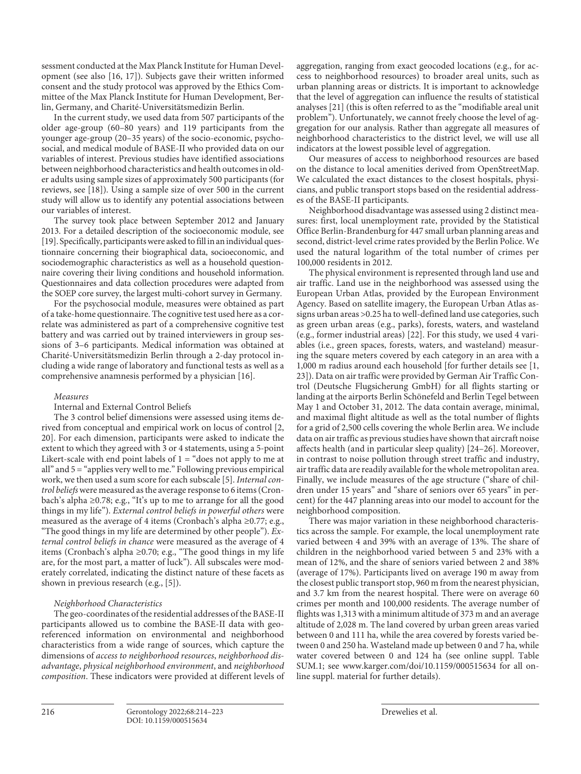sessment conducted at the Max Planck Institute for Human Development (see also [\[1](#page-8-0)[6](#page-8-5), [1](#page-8-0)[7\]](#page-8-6)). Subjects gave their written informed consent and the study protocol was approved by the Ethics Committee of the Max Planck Institute for Human Development, Berlin, Germany, and Charité-Universitätsmedizin Berlin.

In the current study, we used data from 507 participants of the older age-group (60–80 years) and 119 participants from the younger age-group (20–35 years) of the socio-economic, psychosocial, and medical module of BASE-II who provided data on our variables of interest. Previous studies have identified associations between neighborhood characteristics and health outcomes in older adults using sample sizes of approximately 500 participants (for reviews, see [\[1](#page-8-0)[8](#page-8-7)]). Using a sample size of over 500 in the current study will allow us to identify any potential associations between our variables of interest.

<span id="page-2-1"></span><span id="page-2-0"></span>The survey took place between September 2012 and January 2013. For a detailed description of the socioeconomic module, see [[1](#page-8-0)[9\]](#page-8-8). Specifically, participants were asked to fill in an individual questionnaire concerning their biographical data, socioeconomic, and sociodemographic characteristics as well as a household questionnaire covering their living conditions and household information. Questionnaires and data collection procedures were adapted from the SOEP core survey, the largest multi-cohort survey in Germany.

For the psychosocial module, measures were obtained as part of a take-home questionnaire. The cognitive test used here as a correlate was administered as part of a comprehensive cognitive test battery and was carried out by trained interviewers in group sessions of 3–6 participants. Medical information was obtained at Charité-Universitätsmedizin Berlin through a 2-day protocol including a wide range of laboratory and functional tests as well as a comprehensive anamnesis performed by a physician [\[1](#page-8-0)[6](#page-8-5)].

#### *Measures*

Internal and External Control Beliefs

<span id="page-2-2"></span>The 3 control belief dimensions were assessed using items derived from conceptual and empirical work on locus of control [[2](#page-8-1), [2](#page-8-1)0]. For each dimension, participants were asked to indicate the extent to which they agreed with 3 or 4 statements, using a 5-point Likert-scale with end point labels of  $1 =$  "does not apply to me at all" and 5 = "applies very well to me." Following previous empirical work, we then used a sum score for each subscale [[5](#page-8-4)]. *Internal control beliefs* were measured as the average response to 6 items (Cronbach's alpha ≥0.78; e.g., "It's up to me to arrange for all the good things in my life"). *External control beliefs in powerful others* were measured as the average of 4 items (Cronbach's alpha ≥0.77; e.g., "The good things in my life are determined by other people"). *External control beliefs in chance* were measured as the average of 4 items (Cronbach's alpha ≥0.70; e.g., "The good things in my life are, for the most part, a matter of luck"). All subscales were moderately correlated, indicating the distinct nature of these facets as shown in previous research (e.g., [\[5\]](#page-8-4)).

#### *Neighborhood Characteristics*

The geo-coordinates of the residential addresses of the BASE-II participants allowed us to combine the BASE-II data with georeferenced information on environmental and neighborhood characteristics from a wide range of sources, which capture the dimensions of *access to neighborhood resources*, *neighborhood disadvantage*, *physical neighborhood environment*, and *neighborhood composition*. These indicators were provided at different levels of <span id="page-2-3"></span>aggregation, ranging from exact geocoded locations (e.g., for access to neighborhood resources) to broader areal units, such as urban planning areas or districts. It is important to acknowledge that the level of aggregation can influence the results of statistical analyses [[2](#page-8-1)[1\]](#page-8-0) (this is often referred to as the "modifiable areal unit problem"). Unfortunately, we cannot freely choose the level of aggregation for our analysis. Rather than aggregate all measures of neighborhood characteristics to the district level, we will use all indicators at the lowest possible level of aggregation.

Our measures of access to neighborhood resources are based on the distance to local amenities derived from OpenStreetMap. We calculated the exact distances to the closest hospitals, physicians, and public transport stops based on the residential addresses of the BASE-II participants.

Neighborhood disadvantage was assessed using 2 distinct measures: first, local unemployment rate, provided by the Statistical Office Berlin-Brandenburg for 447 small urban planning areas and second, district-level crime rates provided by the Berlin Police. We used the natural logarithm of the total number of crimes per 100,000 residents in 2012.

<span id="page-2-5"></span><span id="page-2-4"></span>The physical environment is represented through land use and air traffic. Land use in the neighborhood was assessed using the European Urban Atlas, provided by the European Environment Agency. Based on satellite imagery, the European Urban Atlas assigns urban areas >0.25 ha to well-defined land use categories, such as green urban areas (e.g., parks), forests, waters, and wasteland (e.g., former industrial areas) [[22\]](#page-8-1). For this study, we used 4 variables (i.e., green spaces, forests, waters, and wasteland) measuring the square meters covered by each category in an area with a 1,000 m radius around each household [for further details see [[1,](#page-8-0) [2](#page-8-1)[3](#page-8-2)]). Data on air traffic were provided by German Air Traffic Control (Deutsche Flugsicherung GmbH) for all flights starting or landing at the airports Berlin Schönefeld and Berlin Tegel between May 1 and October 31, 2012. The data contain average, minimal, and maximal flight altitude as well as the total number of flights for a grid of 2,500 cells covering the whole Berlin area. We include data on air traffic as previous studies have shown that aircraft noise affects health (and in particular sleep quality) [\[2](#page-8-1)[4](#page-8-3)[–2](#page-8-1)[6](#page-8-5)]. Moreover, in contrast to noise pollution through street traffic and industry, air traffic data are readily available for the whole metropolitan area. Finally, we include measures of the age structure ("share of children under 15 years" and "share of seniors over 65 years" in percent) for the 447 planning areas into our model to account for the neighborhood composition.

<span id="page-2-6"></span>There was major variation in these neighborhood characteristics across the sample. For example, the local unemployment rate varied between 4 and 39% with an average of 13%. The share of children in the neighborhood varied between 5 and 23% with a mean of 12%, and the share of seniors varied between 2 and 38% (average of 17%). Participants lived on average 190 m away from the closest public transport stop, 960 m from the nearest physician, and 3.7 km from the nearest hospital. There were on average 60 crimes per month and 100,000 residents. The average number of flights was 1,313 with a minimum altitude of 373 m and an average altitude of 2,028 m. The land covered by urban green areas varied between 0 and 111 ha, while the area covered by forests varied between 0 and 250 ha. Wasteland made up between 0 and 7 ha, while water covered between 0 and 124 ha (see online suppl. Table SUM.1; see www.karger.com/doi/10.1159/000515634 for all online suppl. material for further details).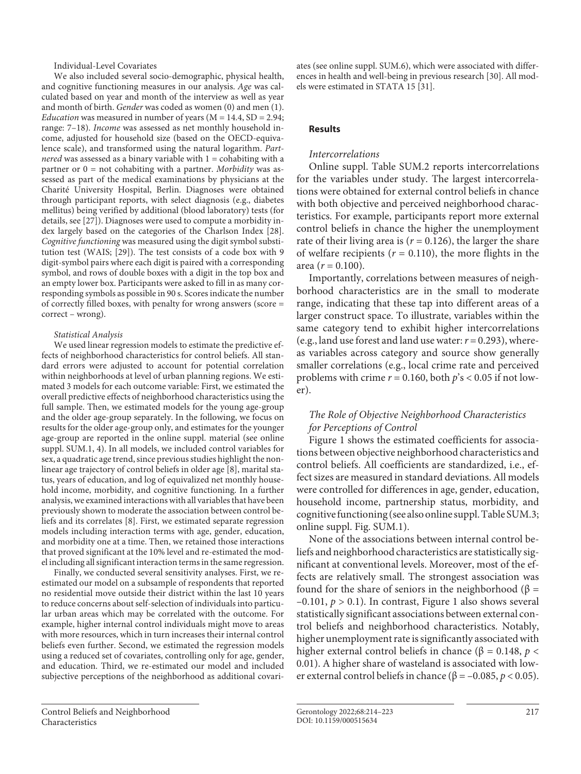Individual-Level Covariates

We also included several socio-demographic, physical health, and cognitive functioning measures in our analysis. *Age* was calculated based on year and month of the interview as well as year and month of birth. *Gender* was coded as women (0) and men (1). *Education* was measured in number of years ( $M = 14.4$ ,  $SD = 2.94$ ; range: 7–18). *Income* was assessed as net monthly household income, adjusted for household size (based on the OECD-equivalence scale), and transformed using the natural logarithm. *Partnered* was assessed as a binary variable with  $1 =$  cohabiting with a partner or 0 = not cohabiting with a partner. *Morbidity* was assessed as part of the medical examinations by physicians at the Charité University Hospital, Berlin. Diagnoses were obtained through participant reports, with select diagnosis (e.g., diabetes mellitus) being verified by additional (blood laboratory) tests (for details, see [[2](#page-8-1)[7](#page-8-6)]). Diagnoses were used to compute a morbidity index largely based on the categories of the Charlson Index [[2](#page-8-1)[8\]](#page-8-7). *Cognitive functioning* was measured using the digit symbol substitution test (WAIS; [\[2](#page-8-1)[9](#page-8-8)]). The test consists of a code box with 9 digit-symbol pairs where each digit is paired with a corresponding symbol, and rows of double boxes with a digit in the top box and an empty lower box. Participants were asked to fill in as many corresponding symbols as possible in 90 s. Scores indicate the number of correctly filled boxes, with penalty for wrong answers (score = correct – wrong).

#### <span id="page-3-1"></span><span id="page-3-0"></span>*Statistical Analysis*

We used linear regression models to estimate the predictive effects of neighborhood characteristics for control beliefs. All standard errors were adjusted to account for potential correlation within neighborhoods at level of urban planning regions. We estimated 3 models for each outcome variable: First, we estimated the overall predictive effects of neighborhood characteristics using the full sample. Then, we estimated models for the young age-group and the older age-group separately. In the following, we focus on results for the older age-group only, and estimates for the younger age-group are reported in the online suppl. material (see online suppl. SUM.1, 4). In all models, we included control variables for sex, a quadratic age trend, since previous studies highlight the nonlinear age trajectory of control beliefs in older age [[8](#page-8-7)], marital status, years of education, and log of equivalized net monthly household income, morbidity, and cognitive functioning. In a further analysis, we examined interactions with all variables that have been previously shown to moderate the association between control beliefs and its correlates [\[8\]](#page-8-7). First, we estimated separate regression models including interaction terms with age, gender, education, and morbidity one at a time. Then, we retained those interactions that proved significant at the 10% level and re-estimated the model including all significant interaction terms in the same regression.

Finally, we conducted several sensitivity analyses. First, we reestimated our model on a subsample of respondents that reported no residential move outside their district within the last 10 years to reduce concerns about self-selection of individuals into particular urban areas which may be correlated with the outcome. For example, higher internal control individuals might move to areas with more resources, which in turn increases their internal control beliefs even further. Second, we estimated the regression models using a reduced set of covariates, controlling only for age, gender, and education. Third, we re-estimated our model and included subjective perceptions of the neighborhood as additional covariates (see online suppl. SUM.6), which were associated with differences in health and well-being in previous research [[3](#page-8-2)0]. All models were estimated in STATA 15 [\[3](#page-8-2)[1](#page-8-0)].

#### **Results**

### *Intercorrelations*

Online suppl. Table SUM.2 reports intercorrelations for the variables under study. The largest intercorrelations were obtained for external control beliefs in chance with both objective and perceived neighborhood characteristics. For example, participants report more external control beliefs in chance the higher the unemployment rate of their living area is  $(r = 0.126)$ , the larger the share of welfare recipients  $(r = 0.110)$ , the more flights in the area ( $r = 0.100$ ).

Importantly, correlations between measures of neighborhood characteristics are in the small to moderate range, indicating that these tap into different areas of a larger construct space. To illustrate, variables within the same category tend to exhibit higher intercorrelations (e.g., land use forest and land use water:  $r = 0.293$ ), whereas variables across category and source show generally smaller correlations (e.g., local crime rate and perceived problems with crime *r* = 0.160, both *p*'s < 0.05 if not lower).

# *The Role of Objective Neighborhood Characteristics for Perceptions of Control*

Figure 1 shows the estimated coefficients for associations between objective neighborhood characteristics and control beliefs. All coefficients are standardized, i.e., effect sizes are measured in standard deviations. All models were controlled for differences in age, gender, education, household income, partnership status, morbidity, and cognitive functioning (see also online suppl. Table SUM.3; online suppl. Fig. SUM.1).

None of the associations between internal control beliefs and neighborhood characteristics are statistically significant at conventional levels. Moreover, most of the effects are relatively small. The strongest association was found for the share of seniors in the neighborhood (β =  $-0.101$ ,  $p > 0.1$ ). In contrast, Figure 1 also shows several statistically significant associations between external control beliefs and neighborhood characteristics. Notably, higher unemployment rate is significantly associated with higher external control beliefs in chance (β = 0.148,  $p$  < 0.01). A higher share of wasteland is associated with lower external control beliefs in chance ( $β = -0.085, p < 0.05$ ).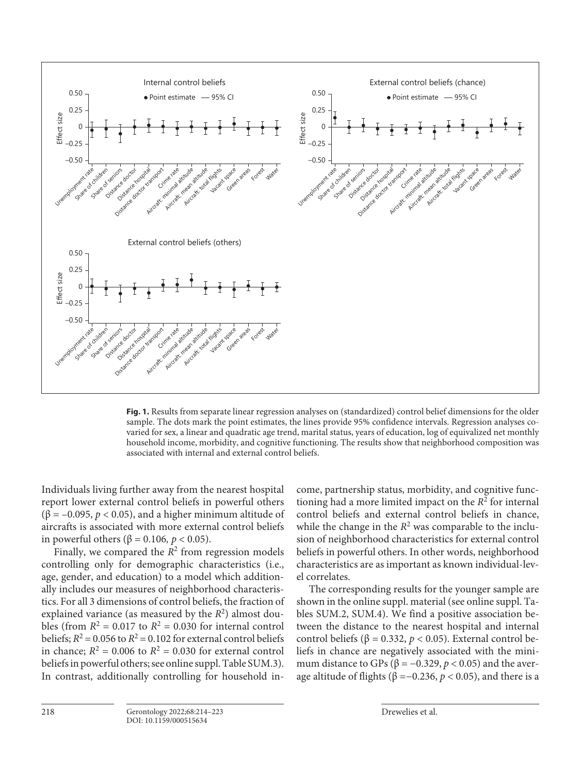

**Fig. 1.** Results from separate linear regression analyses on (standardized) control belief dimensions for the older sample. The dots mark the point estimates, the lines provide 95% confidence intervals. Regression analyses covaried for sex, a linear and quadratic age trend, marital status, years of education, log of equivalized net monthly household income, morbidity, and cognitive functioning. The results show that neighborhood composition was associated with internal and external control beliefs.

Individuals living further away from the nearest hospital report lower external control beliefs in powerful others ( $\beta$  = –0.095, *p* < 0.05), and a higher minimum altitude of aircrafts is associated with more external control beliefs in powerful others ( $β = 0.106$ ,  $p < 0.05$ ).

Finally, we compared the  $R^2$  from regression models controlling only for demographic characteristics (i.e., age, gender, and education) to a model which additionally includes our measures of neighborhood characteristics. For all 3 dimensions of control beliefs, the fraction of explained variance (as measured by the  $R^2$ ) almost doubles (from  $R^2 = 0.017$  to  $R^2 = 0.030$  for internal control beliefs;  $R^2 = 0.056$  to  $R^2 = 0.102$  for external control beliefs in chance;  $R^2 = 0.006$  to  $R^2 = 0.030$  for external control beliefs in powerful others; see online suppl. Table SUM.3). In contrast, additionally controlling for household income, partnership status, morbidity, and cognitive functioning had a more limited impact on the  $R<sup>2</sup>$  for internal control beliefs and external control beliefs in chance, while the change in the  $R^2$  was comparable to the inclusion of neighborhood characteristics for external control beliefs in powerful others. In other words, neighborhood characteristics are as important as known individual-level correlates.

The corresponding results for the younger sample are shown in the online suppl. material (see online suppl. Tables SUM.2, SUM.4). We find a positive association between the distance to the nearest hospital and internal control beliefs (β = 0.332,  $p$  < 0.05). External control beliefs in chance are negatively associated with the minimum distance to GPs ( $\beta$  = -0.329,  $p$  < 0.05) and the average altitude of flights ( $β = -0.236, p < 0.05$ ), and there is a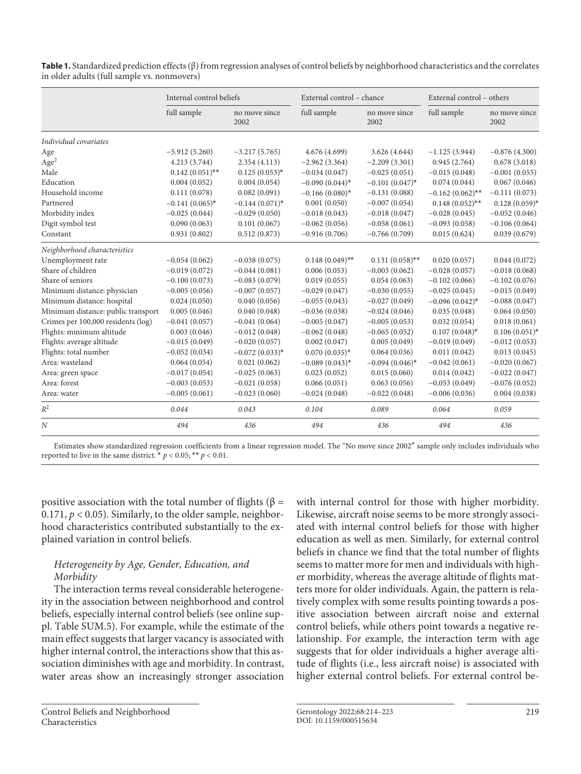|                                    | Internal control beliefs |                       | External control - chance |                       | External control - others |                       |
|------------------------------------|--------------------------|-----------------------|---------------------------|-----------------------|---------------------------|-----------------------|
|                                    | full sample              | no move since<br>2002 | full sample               | no move since<br>2002 | full sample               | no move since<br>2002 |
| Individual covariates              |                          |                       |                           |                       |                           |                       |
| Age                                | $-5.912(5.260)$          | $-3.217(5.765)$       | 4.676 (4.699)             | 3.626 (4.644)         | $-1.125(3.944)$           | $-0.876(4.300)$       |
| Age <sup>2</sup>                   | 4.213 (3.744)            | 2.354(4.113)          | $-2.962(3.364)$           | $-2.209(3.301)$       | 0.945(2.764)              | 0.678(3.018)          |
| Male                               | $0.142(0.051)$ **        | $0.125(0.053)*$       | $-0.034(0.047)$           | $-0.025(0.051)$       | $-0.015(0.048)$           | $-0.001(0.055)$       |
| Education                          | 0.004(0.052)             | 0.004(0.054)          | $-0.090(0.044)$ *         | $-0.101(0.047)$ *     | 0.074(0.044)              | 0.067(0.046)          |
| Household income                   | 0.111(0.078)             | 0.082(0.091)          | $-0.166(0.080)$ *         | $-0.131(0.088)$       | $-0.162(0.062)$ **        | $-0.111(0.073)$       |
| Partnered                          | $-0.141(0.065)$ *        | $-0.144(0.071)$ *     | 0.001(0.050)              | $-0.007(0.054)$       | $0.148(0.052)$ **         | $0.128(0.059)$ *      |
| Morbidity index                    | $-0.025(0.044)$          | $-0.029(0.050)$       | $-0.018(0.043)$           | $-0.018(0.047)$       | $-0.028(0.045)$           | $-0.052(0.046)$       |
| Digit symbol test                  | 0.090(0.063)             | 0.101(0.067)          | $-0.062(0.056)$           | $-0.058(0.061)$       | $-0.093(0.058)$           | $-0.106(0.064)$       |
| Constant                           | 0.931(0.802)             | 0.512(0.873)          | $-0.916(0.706)$           | $-0.766(0.709)$       | 0.015(0.624)              | 0.039(0.679)          |
| Neighborhood characteristics       |                          |                       |                           |                       |                           |                       |
| Unemployment rate                  | $-0.054(0.062)$          | $-0.038(0.075)$       | $0.148(0.049)$ **         | $0.131(0.058)$ **     | 0.020(0.057)              | 0.044(0.072)          |
| Share of children                  | $-0.019(0.072)$          | $-0.044(0.081)$       | 0.006(0.053)              | $-0.003(0.062)$       | $-0.028(0.057)$           | $-0.018(0.068)$       |
| Share of seniors                   | $-0.100(0.073)$          | $-0.083(0.079)$       | 0.019(0.055)              | 0.054(0.063)          | $-0.102(0.066)$           | $-0.102(0.076)$       |
| Minimum distance: physician        | $-0.005(0.056)$          | $-0.007(0.057)$       | $-0.029(0.047)$           | $-0.030(0.055)$       | $-0.025(0.045)$           | $-0.015(0.049)$       |
| Minimum distance: hospital         | 0.024(0.050)             | 0.040(0.056)          | $-0.055(0.043)$           | $-0.027(0.049)$       | $-0.096(0.042)$ *         | $-0.088(0.047)$       |
| Minimum distance: public transport | 0.005(0.046)             | 0.040(0.048)          | $-0.036(0.038)$           | $-0.024(0.046)$       | 0.035(0.048)              | 0.064(0.050)          |
| Crimes per 100,000 residents (log) | $-0.041(0.057)$          | $-0.041(0.064)$       | $-0.005(0.047)$           | $-0.005(0.053)$       | 0.032(0.054)              | 0.018(0.061)          |
| Flights: minimum altitude          | 0.003(0.046)             | $-0.012(0.048)$       | $-0.062(0.048)$           | $-0.065(0.052)$       | $0.107(0.048)$ *          | $0.106(0.051)$ *      |
| Flights: average altitude          | $-0.015(0.049)$          | $-0.020(0.057)$       | 0.002(0.047)              | 0.005(0.049)          | $-0.019(0.049)$           | $-0.012(0.053)$       |
| Flights: total number              | $-0.052(0.034)$          | $-0.072(0.033)*$      | $0.070(0.035)*$           | 0.064(0.036)          | 0.011(0.042)              | 0.013(0.045)          |
| Area: wasteland                    | 0.064(0.054)             | 0.021(0.062)          | $-0.089(0.043)$ *         | $-0.094(0.046)$ *     | $-0.042(0.061)$           | $-0.020(0.067)$       |
| Area: green space                  | $-0.017(0.054)$          | $-0.025(0.063)$       | 0.023(0.052)              | 0.015(0.060)          | 0.014(0.042)              | $-0.022(0.047)$       |
| Area: forest                       | $-0.003(0.053)$          | $-0.021(0.058)$       | 0.066(0.051)              | 0.063(0.056)          | $-0.053(0.049)$           | $-0.076(0.052)$       |
| Area: water                        | $-0.005(0.061)$          | $-0.023(0.060)$       | $-0.024(0.048)$           | $-0.022(0.048)$       | $-0.006(0.036)$           | 0.004(0.038)          |
| $R^2$                              | 0.044                    | 0.043                 | 0.104                     | 0.089                 | 0.064                     | 0.059                 |
| N                                  | 494                      | 436                   | 494                       | 436                   | 494                       | 436                   |

**Table 1.** Standardized prediction effects (β) from regression analyses of control beliefs by neighborhood characteristics and the correlates in older adults (full sample vs. nonmovers)

Estimates show standardized regression coefficients from a linear regression model. The "No move since 2002″ sample only includes individuals who reported to live in the same district.  $* p < 0.05; ** p < 0.01$ .

positive association with the total number of flights (β = 0.171,  $p < 0.05$ ). Similarly, to the older sample, neighborhood characteristics contributed substantially to the explained variation in control beliefs.

# *Heterogeneity by Age, Gender, Education, and Morbidity*

The interaction terms reveal considerable heterogeneity in the association between neighborhood and control beliefs, especially internal control beliefs (see online suppl. Table SUM.5). For example, while the estimate of the main effect suggests that larger vacancy is associated with higher internal control, the interactions show that this association diminishes with age and morbidity. In contrast, water areas show an increasingly stronger association with internal control for those with higher morbidity. Likewise, aircraft noise seems to be more strongly associated with internal control beliefs for those with higher education as well as men. Similarly, for external control beliefs in chance we find that the total number of flights seems to matter more for men and individuals with higher morbidity, whereas the average altitude of flights matters more for older individuals. Again, the pattern is relatively complex with some results pointing towards a positive association between aircraft noise and external control beliefs, while others point towards a negative relationship. For example, the interaction term with age suggests that for older individuals a higher average altitude of flights (i.e., less aircraft noise) is associated with higher external control beliefs. For external control be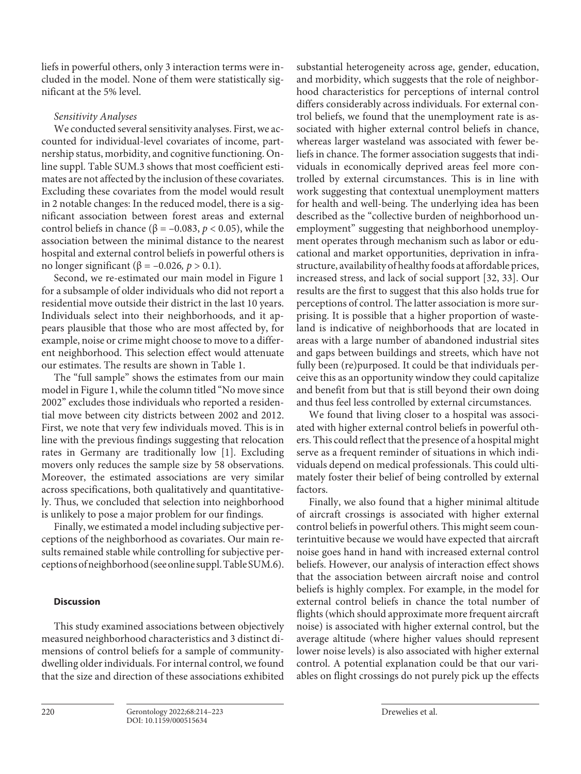liefs in powerful others, only 3 interaction terms were included in the model. None of them were statistically significant at the 5% level.

# *Sensitivity Analyses*

We conducted several sensitivity analyses. First, we accounted for individual-level covariates of income, partnership status, morbidity, and cognitive functioning. Online suppl. Table SUM.3 shows that most coefficient estimates are not affected by the inclusion of these covariates. Excluding these covariates from the model would result in 2 notable changes: In the reduced model, there is a significant association between forest areas and external control beliefs in chance ( $β = -0.083$ ,  $p < 0.05$ ), while the association between the minimal distance to the nearest hospital and external control beliefs in powerful others is no longer significant ( $β = -0.026, p > 0.1$ ).

Second, we re-estimated our main model in Figure 1 for a subsample of older individuals who did not report a residential move outside their district in the last 10 years. Individuals select into their neighborhoods, and it appears plausible that those who are most affected by, for example, noise or crime might choose to move to a different neighborhood. This selection effect would attenuate our estimates. The results are shown in Table 1.

The "full sample" shows the estimates from our main model in Figure 1, while the column titled "No move since 2002" excludes those individuals who reported a residential move between city districts between 2002 and 2012. First, we note that very few individuals moved. This is in line with the previous findings suggesting that relocation rates in Germany are traditionally low [[1\]](#page-8-0). Excluding movers only reduces the sample size by 58 observations. Moreover, the estimated associations are very similar across specifications, both qualitatively and quantitatively. Thus, we concluded that selection into neighborhood is unlikely to pose a major problem for our findings.

Finally, we estimated a model including subjective perceptions of the neighborhood as covariates. Our main results remained stable while controlling for subjective perceptions of neighborhood (see online suppl. Table SUM.6).

# **Discussion**

This study examined associations between objectively measured neighborhood characteristics and 3 distinct dimensions of control beliefs for a sample of communitydwelling older individuals. For internal control, we found that the size and direction of these associations exhibited

substantial heterogeneity across age, gender, education, and morbidity, which suggests that the role of neighborhood characteristics for perceptions of internal control differs considerably across individuals. For external control beliefs, we found that the unemployment rate is associated with higher external control beliefs in chance, whereas larger wasteland was associated with fewer beliefs in chance. The former association suggests that individuals in economically deprived areas feel more controlled by external circumstances. This is in line with work suggesting that contextual unemployment matters for health and well-being. The underlying idea has been described as the "collective burden of neighborhood unemployment" suggesting that neighborhood unemployment operates through mechanism such as labor or educational and market opportunities, deprivation in infrastructure, availability of healthy foods at affordable prices, increased stress, and lack of social support [[3](#page-8-2)[2](#page-8-1), [33](#page-8-2)]. Our results are the first to suggest that this also holds true for perceptions of control. The latter association is more surprising. It is possible that a higher proportion of wasteland is indicative of neighborhoods that are located in areas with a large number of abandoned industrial sites and gaps between buildings and streets, which have not fully been (re)purposed. It could be that individuals perceive this as an opportunity window they could capitalize and benefit from but that is still beyond their own doing and thus feel less controlled by external circumstances.

We found that living closer to a hospital was associated with higher external control beliefs in powerful others. This could reflect that the presence of a hospital might serve as a frequent reminder of situations in which individuals depend on medical professionals. This could ultimately foster their belief of being controlled by external factors.

Finally, we also found that a higher minimal altitude of aircraft crossings is associated with higher external control beliefs in powerful others. This might seem counterintuitive because we would have expected that aircraft noise goes hand in hand with increased external control beliefs. However, our analysis of interaction effect shows that the association between aircraft noise and control beliefs is highly complex. For example, in the model for external control beliefs in chance the total number of flights (which should approximate more frequent aircraft noise) is associated with higher external control, but the average altitude (where higher values should represent lower noise levels) is also associated with higher external control. A potential explanation could be that our variables on flight crossings do not purely pick up the effects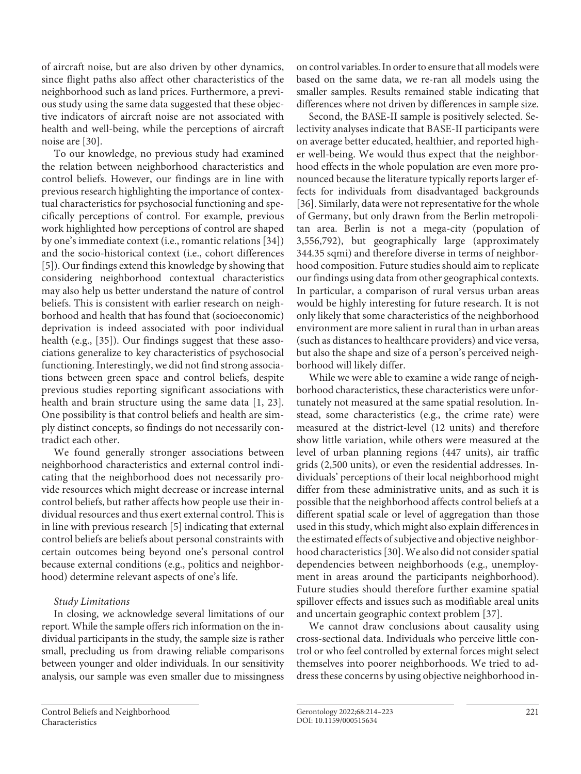of aircraft noise, but are also driven by other dynamics, since flight paths also affect other characteristics of the neighborhood such as land prices. Furthermore, a previous study using the same data suggested that these objective indicators of aircraft noise are not associated with health and well-being, while the perceptions of aircraft noise are [\[3](#page-8-2)0].

To our knowledge, no previous study had examined the relation between neighborhood characteristics and control beliefs. However, our findings are in line with previous research highlighting the importance of contextual characteristics for psychosocial functioning and specifically perceptions of control. For example, previous work highlighted how perceptions of control are shaped by one's immediate context (i.e., romantic relations [\[3](#page-8-2)[4\]](#page-8-3)) and the socio-historical context (i.e., cohort differences [\[5\]](#page-8-4)). Our findings extend this knowledge by showing that considering neighborhood contextual characteristics may also help us better understand the nature of control beliefs. This is consistent with earlier research on neighborhood and health that has found that (socioeconomic) deprivation is indeed associated with poor individual health (e.g., [[3](#page-8-2)[5](#page-8-4)]). Our findings suggest that these associations generalize to key characteristics of psychosocial functioning. Interestingly, we did not find strong associations between green space and control beliefs, despite previous studies reporting significant associations with health and brain structure using the same data [[1](#page-8-0), [2](#page-8-1)[3\]](#page-8-2). One possibility is that control beliefs and health are simply distinct concepts, so findings do not necessarily contradict each other.

We found generally stronger associations between neighborhood characteristics and external control indicating that the neighborhood does not necessarily provide resources which might decrease or increase internal control beliefs, but rather affects how people use their individual resources and thus exert external control. This is in line with previous research [[5\]](#page-8-4) indicating that external control beliefs are beliefs about personal constraints with certain outcomes being beyond one's personal control because external conditions (e.g., politics and neighborhood) determine relevant aspects of one's life.

# *Study Limitations*

In closing, we acknowledge several limitations of our report. While the sample offers rich information on the individual participants in the study, the sample size is rather small, precluding us from drawing reliable comparisons between younger and older individuals. In our sensitivity analysis, our sample was even smaller due to missingness on control variables. In order to ensure that all models were based on the same data, we re-ran all models using the smaller samples. Results remained stable indicating that differences where not driven by differences in sample size.

Second, the BASE-II sample is positively selected. Selectivity analyses indicate that BASE-II participants were on average better educated, healthier, and reported higher well-being. We would thus expect that the neighborhood effects in the whole population are even more pronounced because the literature typically reports larger effects for individuals from disadvantaged backgrounds [[3](#page-8-2)[6](#page-8-5)]. Similarly, data were not representative for the whole of Germany, but only drawn from the Berlin metropolitan area. Berlin is not a mega-city (population of 3,556,792), but geographically large (approximately 344.35 sqmi) and therefore diverse in terms of neighborhood composition. Future studies should aim to replicate our findings using data from other geographical contexts. In particular, a comparison of rural versus urban areas would be highly interesting for future research. It is not only likely that some characteristics of the neighborhood environment are more salient in rural than in urban areas (such as distances to healthcare providers) and vice versa, but also the shape and size of a person's perceived neighborhood will likely differ.

While we were able to examine a wide range of neighborhood characteristics, these characteristics were unfortunately not measured at the same spatial resolution. Instead, some characteristics (e.g., the crime rate) were measured at the district-level (12 units) and therefore show little variation, while others were measured at the level of urban planning regions (447 units), air traffic grids (2,500 units), or even the residential addresses. Individuals' perceptions of their local neighborhood might differ from these administrative units, and as such it is possible that the neighborhood affects control beliefs at a different spatial scale or level of aggregation than those used in this study, which might also explain differences in the estimated effects of subjective and objective neighborhood characteristics [\[3](#page-8-2)0]. We also did not consider spatial dependencies between neighborhoods (e.g., unemployment in areas around the participants neighborhood). Future studies should therefore further examine spatial spillover effects and issues such as modifiable areal units and uncertain geographic context problem [\[3](#page-8-2)[7](#page-8-6)].

We cannot draw conclusions about causality using cross-sectional data. Individuals who perceive little control or who feel controlled by external forces might select themselves into poorer neighborhoods. We tried to address these concerns by using objective neighborhood in-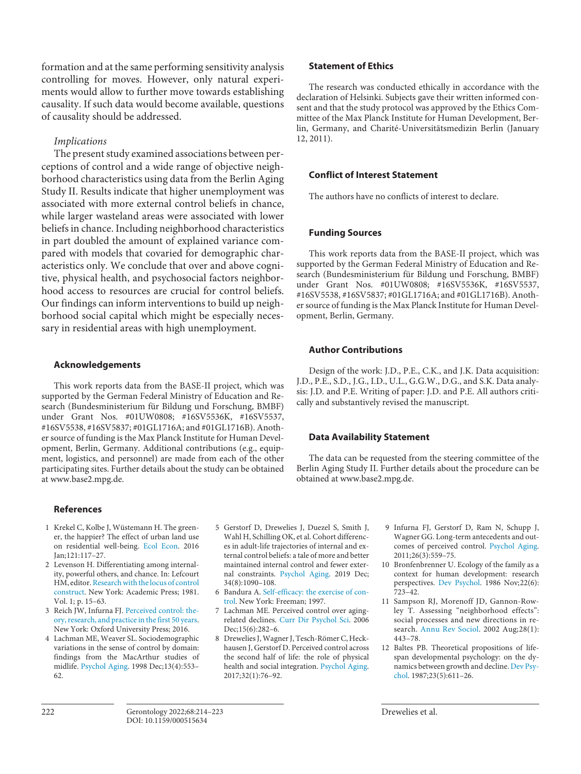formation and at the same performing sensitivity analysis controlling for moves. However, only natural experiments would allow to further move towards establishing causality. If such data would become available, questions of causality should be addressed.

# *Implications*

The present study examined associations between perceptions of control and a wide range of objective neighborhood characteristics using data from the Berlin Aging Study II. Results indicate that higher unemployment was associated with more external control beliefs in chance, while larger wasteland areas were associated with lower beliefs in chance. Including neighborhood characteristics in part doubled the amount of explained variance compared with models that covaried for demographic characteristics only. We conclude that over and above cognitive, physical health, and psychosocial factors neighborhood access to resources are crucial for control beliefs. Our findings can inform interventions to build up neighborhood social capital which might be especially necessary in residential areas with high unemployment.

#### **Acknowledgements**

This work reports data from the BASE-II project, which was supported by the German Federal Ministry of Education and Research (Bundesministerium für Bildung und Forschung, BMBF) under Grant Nos. #01UW0808; #16SV5536K, #16SV5537, #16SV5538, #16SV5837; #01GL1716A; and #01GL1716B). Another source of funding is the Max Planck Institute for Human Development, Berlin, Germany. Additional contributions (e.g., equipment, logistics, and personnel) are made from each of the other participating sites. Further details about the study can be obtained at www.base2.mpg.de.

# **References**

- <span id="page-8-0"></span>[1](#page-0-0) Krekel C, Kolbe J, Wüstemann H. The greener, the happier? The effect of urban land use on residential well-being. [Ecol Econ](https://www.karger.com/Article/FullText/515634?ref=1#ref1). 2016 Jan;121:117–27.
- <span id="page-8-1"></span>[2](#page-1-0) Levenson H. Differentiating among internality, powerful others, and chance. In: Lefcourt HM, editor. [Research with the locus of control](https://www.karger.com/Article/FullText/515634?ref=2#ref2) [construct](https://www.karger.com/Article/FullText/515634?ref=2#ref2). New York: Academic Press; 1981. Vol. 1; p. 15–63.
- <span id="page-8-2"></span>[3](#page-1-1) Reich JW, Infurna FJ. Perceived control: [the](https://www.karger.com/Article/FullText/515634?ref=3#ref3)[ory, research, and practice in the first 50 years](https://www.karger.com/Article/FullText/515634?ref=3#ref3). New York: Oxford University Press; 2016.
- <span id="page-8-3"></span>[4](#page-1-2) Lachman ME, Weaver SL. Sociodemographic variations in the sense of control by domain: findings from the MacArthur studies of midlife. [Psychol Aging.](https://www.karger.com/Article/FullText/515634?ref=4#ref4) 1998 Dec;13(4):553– 62.

# **Statement of Ethics**

The research was conducted ethically in accordance with the declaration of Helsinki. Subjects gave their written informed consent and that the study protocol was approved by the Ethics Committee of the Max Planck Institute for Human Development, Berlin, Germany, and Charité-Universitätsmedizin Berlin (January 12, 2011).

# **Conflict of Interest Statement**

The authors have no conflicts of interest to declare.

# **Funding Sources**

This work reports data from the BASE-II project, which was supported by the German Federal Ministry of Education and Research (Bundesministerium für Bildung und Forschung, BMBF) under Grant Nos. #01UW0808; #16SV5536K, #16SV5537, #16SV5538, #16SV5837; #01GL1716A; and #01GL1716B). Another source of funding is the Max Planck Institute for Human Development, Berlin, Germany.

# **Author Contributions**

Design of the work: J.D., P.E., C.K., and J.K. Data acquisition: J.D., P.E., S.D., J.G., I.D., U.L., G.G.W., D.G., and S.K. Data analysis: J.D. and P.E. Writing of paper: J.D. and P.E. All authors critically and substantively revised the manuscript.

# **Data Availability Statement**

The data can be requested from the steering committee of the Berlin Aging Study II. Further details about the procedure can be obtained at www.base2.mpg.de.

- <span id="page-8-4"></span>[5](#page-1-3) Gerstorf D, Drewelies J, Duezel S, Smith J, Wahl H, Schilling OK, et al. Cohort differences in adult-life trajectories of internal and external control beliefs: a tale of more and better maintained internal control and fewer external constraints. [Psychol Aging](https://www.karger.com/Article/FullText/515634?ref=5#ref5). 2019 Dec; 34(8):1090–108.
- <span id="page-8-5"></span>[6](#page-1-4) Bandura A. Self-efficacy: [the exercise of con](https://www.karger.com/Article/FullText/515634?ref=6#ref6)[trol](https://www.karger.com/Article/FullText/515634?ref=6#ref6). New York: Freeman; 1997.
- <span id="page-8-6"></span>[7](#page-1-4) Lachman ME. Perceived control over agingrelated declines. [Curr Dir Psychol Sci.](https://www.karger.com/Article/FullText/515634?ref=7#ref7) 2006 Dec;15(6):282–6.
- <span id="page-8-7"></span>[8](#page-1-5) Drewelies J, Wagner J, Tesch-Römer C, Heckhausen J, Gerstorf D. Perceived control across the second half of life: the role of physical health and social integration. [Psychol Aging.](https://www.karger.com/Article/FullText/515634?ref=8#ref8) 2017;32(1):76–92.
- <span id="page-8-8"></span>[9](#page-1-5) Infurna FJ, Gerstorf D, Ram N, Schupp J, Wagner GG. Long-term antecedents and outcomes of perceived control. [Psychol Aging.](https://www.karger.com/Article/FullText/515634?ref=9#ref9) 2011;26(3):559–75.
- [10](#page-1-6) Bronfenbrenner U. Ecology of the family as a context for human development: research perspectives. [Dev Psychol](https://www.karger.com/Article/FullText/515634?ref=10#ref10). 1986 Nov;22(6): 723–42.
- [11](#page-1-7) Sampson RJ, Morenoff JD, Gannon-Rowley T. Assessing "neighborhood effects": social processes and new directions in research. [Annu Rev Sociol.](https://www.karger.com/Article/FullText/515634?ref=11#ref11) 2002 Aug;28(1): 443–78.
- [12](#page-1-8) Baltes PB. Theoretical propositions of lifespan developmental psychology: on the dynamics between growth and decline. [Dev Psy](https://www.karger.com/Article/FullText/515634?ref=12#ref12)[chol](https://www.karger.com/Article/FullText/515634?ref=12#ref12). 1987;23(5):611–26.